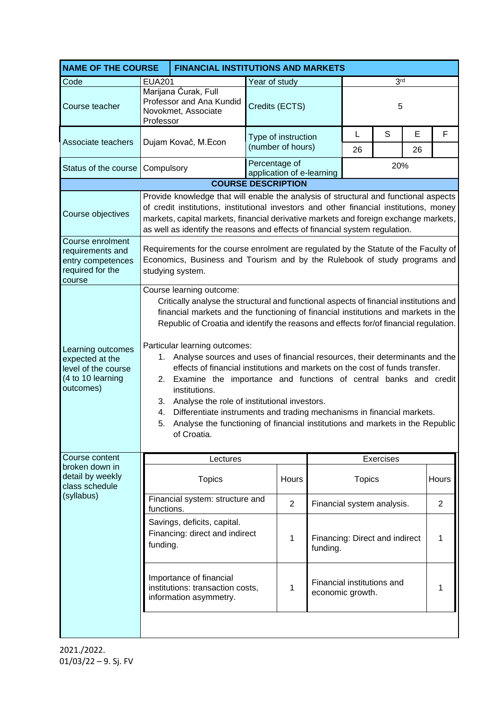| <b>NAME OF THE COURSE</b>                                                                     |                                                                                                                                                                                                                                                                                                                                                                                                                                                                                                                                                                                                                                                                                                                                                                                                                                       |                                 | <b>FINANCIAL INSTITUTIONS AND MARKETS</b> |                                          |                                                |                 |           |         |                |
|-----------------------------------------------------------------------------------------------|---------------------------------------------------------------------------------------------------------------------------------------------------------------------------------------------------------------------------------------------------------------------------------------------------------------------------------------------------------------------------------------------------------------------------------------------------------------------------------------------------------------------------------------------------------------------------------------------------------------------------------------------------------------------------------------------------------------------------------------------------------------------------------------------------------------------------------------|---------------------------------|-------------------------------------------|------------------------------------------|------------------------------------------------|-----------------|-----------|---------|----------------|
| Code                                                                                          | <b>EUA201</b>                                                                                                                                                                                                                                                                                                                                                                                                                                                                                                                                                                                                                                                                                                                                                                                                                         |                                 | Year of study                             |                                          |                                                | 3 <sup>rd</sup> |           |         |                |
| Course teacher                                                                                | Marijana Ćurak, Full<br>Professor and Ana Kundid<br>Novokmet, Associate<br>Professor                                                                                                                                                                                                                                                                                                                                                                                                                                                                                                                                                                                                                                                                                                                                                  |                                 | Credits (ECTS)                            |                                          |                                                | 5               |           |         |                |
| Associate teachers                                                                            | Dujam Kovač, M.Econ                                                                                                                                                                                                                                                                                                                                                                                                                                                                                                                                                                                                                                                                                                                                                                                                                   |                                 |                                           | Type of instruction<br>(number of hours) |                                                | L<br>26         | S         | Е<br>26 | F              |
| Status of the course                                                                          | Compulsory                                                                                                                                                                                                                                                                                                                                                                                                                                                                                                                                                                                                                                                                                                                                                                                                                            |                                 | Percentage of                             |                                          | application of e-learning                      | 20%             |           |         |                |
|                                                                                               |                                                                                                                                                                                                                                                                                                                                                                                                                                                                                                                                                                                                                                                                                                                                                                                                                                       | <b>COURSE DESCRIPTION</b>       |                                           |                                          |                                                |                 |           |         |                |
| Course objectives                                                                             | Provide knowledge that will enable the analysis of structural and functional aspects<br>of credit institutions, institutional investors and other financial institutions, money<br>markets, capital markets, financial derivative markets and foreign exchange markets,<br>as well as identify the reasons and effects of financial system regulation.                                                                                                                                                                                                                                                                                                                                                                                                                                                                                |                                 |                                           |                                          |                                                |                 |           |         |                |
| Course enrolment<br>requirements and<br>entry competences<br>required for the<br>course       | Requirements for the course enrolment are regulated by the Statute of the Faculty of<br>Economics, Business and Tourism and by the Rulebook of study programs and<br>studying system.                                                                                                                                                                                                                                                                                                                                                                                                                                                                                                                                                                                                                                                 |                                 |                                           |                                          |                                                |                 |           |         |                |
| Learning outcomes<br>expected at the<br>level of the course<br>(4 to 10 learning<br>outcomes) | Course learning outcome:<br>Critically analyse the structural and functional aspects of financial institutions and<br>financial markets and the functioning of financial institutions and markets in the<br>Republic of Croatia and identify the reasons and effects for/of financial regulation.<br>Particular learning outcomes:<br>1. Analyse sources and uses of financial resources, their determinants and the<br>effects of financial institutions and markets on the cost of funds transfer.<br>2. Examine the importance and functions of central banks and credit<br>institutions.<br>3. Analyse the role of institutional investors.<br>Differentiate instruments and trading mechanisms in financial markets.<br>4.<br>Analyse the functioning of financial institutions and markets in the Republic<br>5.<br>of Croatia. |                                 |                                           |                                          |                                                |                 |           |         |                |
| Course content                                                                                |                                                                                                                                                                                                                                                                                                                                                                                                                                                                                                                                                                                                                                                                                                                                                                                                                                       | Lectures                        |                                           |                                          |                                                |                 | Exercises |         |                |
| broken down in<br>detail by weekly<br>class schedule<br>(syllabus)                            |                                                                                                                                                                                                                                                                                                                                                                                                                                                                                                                                                                                                                                                                                                                                                                                                                                       | <b>Topics</b>                   |                                           | Hours                                    |                                                | <b>Topics</b>   |           |         | Hours          |
|                                                                                               | functions.                                                                                                                                                                                                                                                                                                                                                                                                                                                                                                                                                                                                                                                                                                                                                                                                                            | Financial system: structure and |                                           | $\overline{2}$                           | Financial system analysis.                     |                 |           |         | $\overline{2}$ |
|                                                                                               | Savings, deficits, capital.<br>Financing: direct and indirect<br>funding.                                                                                                                                                                                                                                                                                                                                                                                                                                                                                                                                                                                                                                                                                                                                                             |                                 |                                           | $\mathbf{1}$                             | Financing: Direct and indirect<br>funding.     |                 |           |         | 1              |
|                                                                                               | Importance of financial<br>institutions: transaction costs,<br>information asymmetry.                                                                                                                                                                                                                                                                                                                                                                                                                                                                                                                                                                                                                                                                                                                                                 |                                 | 1                                         |                                          | Financial institutions and<br>economic growth. |                 | 1         |         |                |
|                                                                                               |                                                                                                                                                                                                                                                                                                                                                                                                                                                                                                                                                                                                                                                                                                                                                                                                                                       |                                 |                                           |                                          |                                                |                 |           |         |                |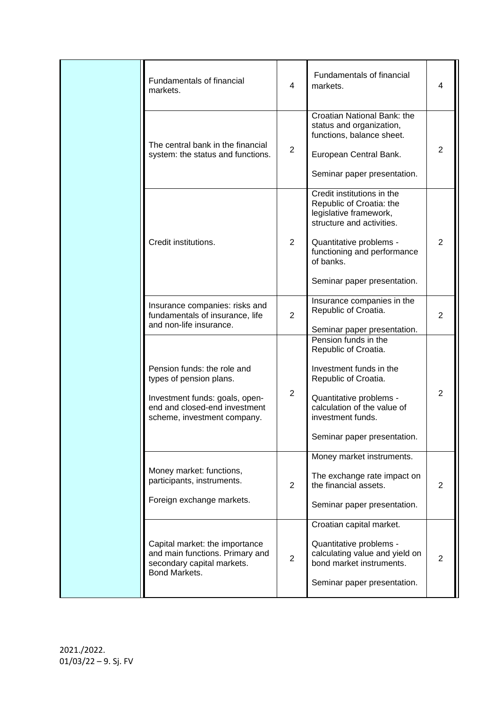| Fundamentals of financial<br>markets.                                                                                                                    | $\overline{4}$ | Fundamentals of financial<br>markets.                                                                                                                                                                               | 4              |
|----------------------------------------------------------------------------------------------------------------------------------------------------------|----------------|---------------------------------------------------------------------------------------------------------------------------------------------------------------------------------------------------------------------|----------------|
| The central bank in the financial<br>system: the status and functions.                                                                                   | $\overline{2}$ | Croatian National Bank: the<br>status and organization,<br>functions, balance sheet.<br>European Central Bank.<br>Seminar paper presentation.                                                                       | 2              |
| Credit institutions.                                                                                                                                     | $\overline{2}$ | Credit institutions in the<br>Republic of Croatia: the<br>legislative framework,<br>structure and activities.<br>Quantitative problems -<br>functioning and performance<br>of banks.<br>Seminar paper presentation. | $\overline{2}$ |
| Insurance companies: risks and<br>fundamentals of insurance, life<br>and non-life insurance.                                                             | $\overline{2}$ | Insurance companies in the<br>Republic of Croatia.<br>Seminar paper presentation.                                                                                                                                   | $\overline{2}$ |
| Pension funds: the role and<br>types of pension plans.<br>Investment funds: goals, open-<br>end and closed-end investment<br>scheme, investment company. | $\overline{2}$ | Pension funds in the<br>Republic of Croatia.<br>Investment funds in the<br>Republic of Croatia.<br>Quantitative problems -<br>calculation of the value of<br>investment funds.<br>Seminar paper presentation.       | 2              |
| Money market: functions,<br>participants, instruments.<br>Foreign exchange markets.                                                                      | $\overline{2}$ | Money market instruments.<br>The exchange rate impact on<br>the financial assets.<br>Seminar paper presentation.                                                                                                    | $\overline{2}$ |
| Capital market: the importance<br>and main functions. Primary and<br>secondary capital markets.<br>Bond Markets.                                         | $\overline{2}$ | Croatian capital market.<br>Quantitative problems -<br>calculating value and yield on<br>bond market instruments.<br>Seminar paper presentation.                                                                    | $\overline{2}$ |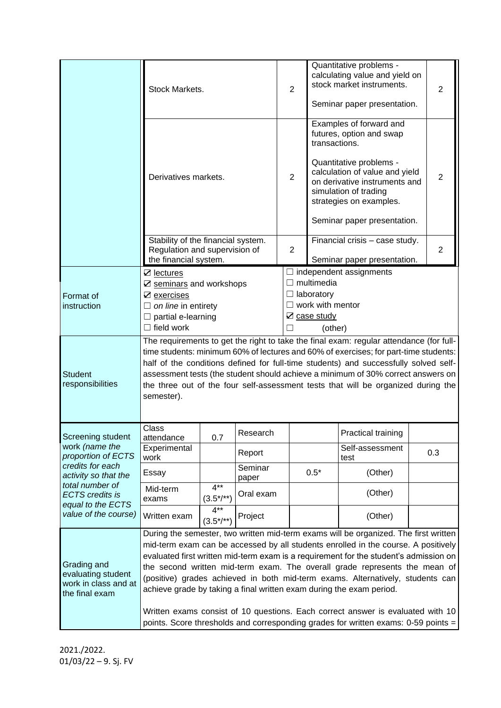|                                                                                        | Stock Markets.                                                                                                                                                                  |                           |                  | $\overline{2}$                                                       |                                                                                                                                                                  | Quantitative problems -<br>calculating value and yield on<br>stock market instruments.<br>Seminar paper presentation. | $\overline{2}$ |  |
|----------------------------------------------------------------------------------------|---------------------------------------------------------------------------------------------------------------------------------------------------------------------------------|---------------------------|------------------|----------------------------------------------------------------------|------------------------------------------------------------------------------------------------------------------------------------------------------------------|-----------------------------------------------------------------------------------------------------------------------|----------------|--|
|                                                                                        |                                                                                                                                                                                 |                           |                  | Examples of forward and<br>futures, option and swap<br>transactions. |                                                                                                                                                                  |                                                                                                                       |                |  |
|                                                                                        | Derivatives markets.                                                                                                                                                            |                           | $\overline{2}$   |                                                                      | Quantitative problems -<br>calculation of value and yield<br>$\overline{2}$<br>on derivative instruments and<br>simulation of trading<br>strategies on examples. |                                                                                                                       |                |  |
|                                                                                        |                                                                                                                                                                                 |                           |                  | Seminar paper presentation.                                          |                                                                                                                                                                  |                                                                                                                       |                |  |
|                                                                                        | Stability of the financial system.<br>Regulation and supervision of<br>the financial system.                                                                                    |                           |                  | $\overline{2}$                                                       |                                                                                                                                                                  | Financial crisis - case study.<br>$\overline{2}$                                                                      |                |  |
|                                                                                        |                                                                                                                                                                                 |                           |                  |                                                                      | Seminar paper presentation.                                                                                                                                      |                                                                                                                       |                |  |
|                                                                                        | ☑ lectures                                                                                                                                                                      |                           |                  |                                                                      | $\Box$ multimedia                                                                                                                                                | $\Box$ independent assignments                                                                                        |                |  |
|                                                                                        | $\boxtimes$ seminars and workshops                                                                                                                                              |                           |                  |                                                                      |                                                                                                                                                                  |                                                                                                                       |                |  |
| Format of<br>instruction                                                               | $\boxtimes$ exercises<br>$\Box$ on line in entirety                                                                                                                             |                           |                  |                                                                      | $\Box$ laboratory<br>$\Box$ work with mentor                                                                                                                     |                                                                                                                       |                |  |
|                                                                                        | $\Box$ partial e-learning                                                                                                                                                       |                           |                  | ☑ case study                                                         |                                                                                                                                                                  |                                                                                                                       |                |  |
|                                                                                        | $\Box$ field work                                                                                                                                                               |                           |                  | (other)                                                              |                                                                                                                                                                  |                                                                                                                       |                |  |
|                                                                                        |                                                                                                                                                                                 |                           |                  |                                                                      |                                                                                                                                                                  |                                                                                                                       |                |  |
|                                                                                        | The requirements to get the right to take the final exam: regular attendance (for full-<br>time students: minimum 60% of lectures and 60% of exercises; for part-time students: |                           |                  |                                                                      |                                                                                                                                                                  |                                                                                                                       |                |  |
|                                                                                        | half of the conditions defined for full-time students) and successfully solved self-                                                                                            |                           |                  |                                                                      |                                                                                                                                                                  |                                                                                                                       |                |  |
| <b>Student</b>                                                                         | assessment tests (the student should achieve a minimum of 30% correct answers on                                                                                                |                           |                  |                                                                      |                                                                                                                                                                  |                                                                                                                       |                |  |
| responsibilities                                                                       | the three out of the four self-assessment tests that will be organized during the                                                                                               |                           |                  |                                                                      |                                                                                                                                                                  |                                                                                                                       |                |  |
|                                                                                        | semester).                                                                                                                                                                      |                           |                  |                                                                      |                                                                                                                                                                  |                                                                                                                       |                |  |
|                                                                                        |                                                                                                                                                                                 |                           |                  |                                                                      |                                                                                                                                                                  |                                                                                                                       |                |  |
| Screening student                                                                      | Class<br>attendance                                                                                                                                                             | 0.7                       | Research         |                                                                      |                                                                                                                                                                  | Practical training                                                                                                    |                |  |
| work (name the<br>proportion of ECTS                                                   | Experimental<br>Report<br>work                                                                                                                                                  |                           |                  |                                                                      |                                                                                                                                                                  | Self-assessment<br>test                                                                                               | 0.3            |  |
| credits for each<br>activity so that the                                               | Essay                                                                                                                                                                           |                           | Seminar<br>paper |                                                                      | $0.5*$                                                                                                                                                           | (Other)                                                                                                               |                |  |
| total number of<br><b>ECTS</b> credits is<br>equal to the ECTS<br>value of the course) | Mid-term<br>exams                                                                                                                                                               | $4**$<br>$(3.5^*/^{**})$  | Oral exam        |                                                                      |                                                                                                                                                                  | (Other)                                                                                                               |                |  |
|                                                                                        | Written exam                                                                                                                                                                    | $4***$<br>$(3.5^*/^{**})$ | Project          |                                                                      |                                                                                                                                                                  | (Other)                                                                                                               |                |  |
|                                                                                        | During the semester, two written mid-term exams will be organized. The first written                                                                                            |                           |                  |                                                                      |                                                                                                                                                                  |                                                                                                                       |                |  |
| Grading and<br>evaluating student<br>work in class and at<br>the final exam            | mid-term exam can be accessed by all students enrolled in the course. A positively                                                                                              |                           |                  |                                                                      |                                                                                                                                                                  |                                                                                                                       |                |  |
|                                                                                        | evaluated first written mid-term exam is a requirement for the student's admission on                                                                                           |                           |                  |                                                                      |                                                                                                                                                                  |                                                                                                                       |                |  |
|                                                                                        | the second written mid-term exam. The overall grade represents the mean of                                                                                                      |                           |                  |                                                                      |                                                                                                                                                                  |                                                                                                                       |                |  |
|                                                                                        | (positive) grades achieved in both mid-term exams. Alternatively, students can<br>achieve grade by taking a final written exam during the exam period.                          |                           |                  |                                                                      |                                                                                                                                                                  |                                                                                                                       |                |  |
|                                                                                        | Written exams consist of 10 questions. Each correct answer is evaluated with 10<br>points. Score thresholds and corresponding grades for written exams: 0-59 points =           |                           |                  |                                                                      |                                                                                                                                                                  |                                                                                                                       |                |  |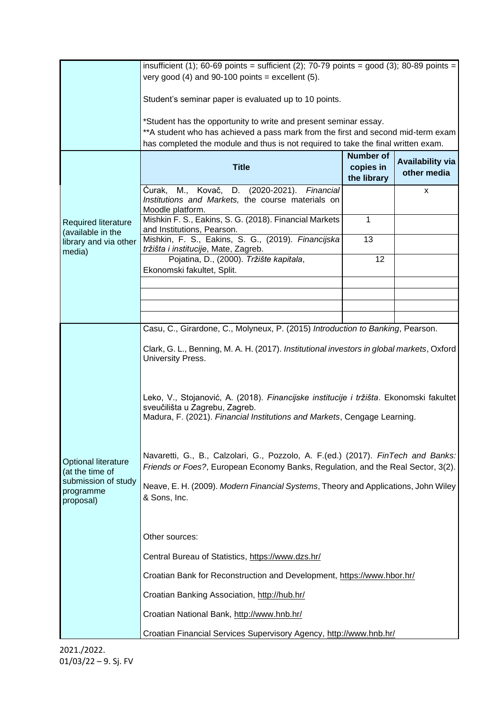|                                                                                         | insufficient (1); 60-69 points = sufficient (2); 70-79 points = good (3); 80-89 points =<br>very good (4) and 90-100 points = excellent (5).                                                                                              |                                              |                                        |  |  |  |  |
|-----------------------------------------------------------------------------------------|-------------------------------------------------------------------------------------------------------------------------------------------------------------------------------------------------------------------------------------------|----------------------------------------------|----------------------------------------|--|--|--|--|
|                                                                                         | Student's seminar paper is evaluated up to 10 points.                                                                                                                                                                                     |                                              |                                        |  |  |  |  |
|                                                                                         | *Student has the opportunity to write and present seminar essay.<br>**A student who has achieved a pass mark from the first and second mid-term exam<br>has completed the module and thus is not required to take the final written exam. |                                              |                                        |  |  |  |  |
| Required literature                                                                     | <b>Title</b>                                                                                                                                                                                                                              | <b>Number of</b><br>copies in<br>the library | <b>Availability via</b><br>other media |  |  |  |  |
|                                                                                         | Ćurak, M., Kovač, D. (2020-2021).<br>Financial<br>Institutions and Markets, the course materials on<br>Moodle platform.                                                                                                                   |                                              | X                                      |  |  |  |  |
|                                                                                         | Mishkin F. S., Eakins, S. G. (2018). Financial Markets<br>and Institutions, Pearson.                                                                                                                                                      | $\mathbf{1}$                                 |                                        |  |  |  |  |
| (available in the<br>library and via other                                              | Mishkin, F. S., Eakins, S. G., (2019). Financijska<br>tržišta i institucije, Mate, Zagreb.                                                                                                                                                | 13                                           |                                        |  |  |  |  |
| media)                                                                                  | Pojatina, D., (2000). Tržište kapitala,<br>Ekonomski fakultet, Split.                                                                                                                                                                     | 12                                           |                                        |  |  |  |  |
|                                                                                         |                                                                                                                                                                                                                                           |                                              |                                        |  |  |  |  |
|                                                                                         |                                                                                                                                                                                                                                           |                                              |                                        |  |  |  |  |
|                                                                                         | Casu, C., Girardone, C., Molyneux, P. (2015) Introduction to Banking, Pearson.                                                                                                                                                            |                                              |                                        |  |  |  |  |
| Optional literature<br>(at the time of<br>submission of study<br>programme<br>proposal) | Clark, G. L., Benning, M. A. H. (2017). Institutional investors in global markets, Oxford<br>University Press.                                                                                                                            |                                              |                                        |  |  |  |  |
|                                                                                         | Leko, V., Stojanović, A. (2018). Financijske institucije i tržišta. Ekonomski fakultet<br>sveučilišta u Zagrebu, Zagreb.<br>Madura, F. (2021). Financial Institutions and Markets, Cengage Learning.                                      |                                              |                                        |  |  |  |  |
|                                                                                         | Navaretti, G., B., Calzolari, G., Pozzolo, A. F.(ed.) (2017). FinTech and Banks:<br>Friends or Foes?, European Economy Banks, Regulation, and the Real Sector, 3(2).                                                                      |                                              |                                        |  |  |  |  |
|                                                                                         | Neave, E. H. (2009). Modern Financial Systems, Theory and Applications, John Wiley<br>& Sons, Inc.                                                                                                                                        |                                              |                                        |  |  |  |  |
|                                                                                         | Other sources:                                                                                                                                                                                                                            |                                              |                                        |  |  |  |  |
|                                                                                         | Central Bureau of Statistics, https://www.dzs.hr/                                                                                                                                                                                         |                                              |                                        |  |  |  |  |
|                                                                                         | Croatian Bank for Reconstruction and Development, https://www.hbor.hr/                                                                                                                                                                    |                                              |                                        |  |  |  |  |
|                                                                                         | Croatian Banking Association, http://hub.hr/                                                                                                                                                                                              |                                              |                                        |  |  |  |  |
|                                                                                         | Croatian National Bank, http://www.hnb.hr/                                                                                                                                                                                                |                                              |                                        |  |  |  |  |
|                                                                                         | Croatian Financial Services Supervisory Agency, http://www.hnb.hr/                                                                                                                                                                        |                                              |                                        |  |  |  |  |